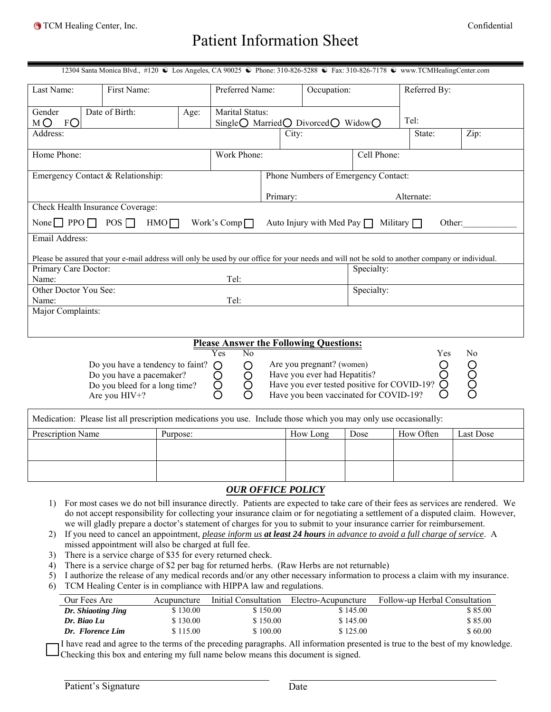# Patient Information Sheet

| 12304 Santa Monica Blvd., #120 € Los Angeles, CA 90025 € Phone: 310-826-5288 € Fax: 310-826-7178 € www.TCMHealingCenter.com |                                                                                                                                                  |      |                                                                                                     |                                     |                                                                                                                                                    |             |              |            |  |
|-----------------------------------------------------------------------------------------------------------------------------|--------------------------------------------------------------------------------------------------------------------------------------------------|------|-----------------------------------------------------------------------------------------------------|-------------------------------------|----------------------------------------------------------------------------------------------------------------------------------------------------|-------------|--------------|------------|--|
| Last Name:                                                                                                                  | First Name:                                                                                                                                      |      | Preferred Name:                                                                                     |                                     | Occupation:                                                                                                                                        |             | Referred By: |            |  |
| Gender<br>FO<br>MО                                                                                                          | Date of Birth:                                                                                                                                   | Age: | <b>Marital Status:</b><br>Single $\bigcirc$ Married $\bigcirc$ Divorced $\bigcirc$ Widow $\bigcirc$ |                                     |                                                                                                                                                    | Tel:        |              |            |  |
| Address:                                                                                                                    |                                                                                                                                                  |      |                                                                                                     | City:                               |                                                                                                                                                    |             | State:       | Zip:       |  |
| Home Phone:                                                                                                                 |                                                                                                                                                  |      | Work Phone:                                                                                         |                                     |                                                                                                                                                    | Cell Phone: |              |            |  |
|                                                                                                                             | Emergency Contact & Relationship:                                                                                                                |      |                                                                                                     | Phone Numbers of Emergency Contact: |                                                                                                                                                    |             |              |            |  |
|                                                                                                                             |                                                                                                                                                  |      |                                                                                                     | Primary:                            |                                                                                                                                                    |             | Alternate:   |            |  |
|                                                                                                                             | Check Health Insurance Coverage:                                                                                                                 |      |                                                                                                     |                                     |                                                                                                                                                    |             |              |            |  |
| None $\Box$ PPO $\Box$ POS $\Box$                                                                                           | HMO <sub>1</sub>                                                                                                                                 |      | Work's Comp $\Box$                                                                                  |                                     | Auto Injury with Med Pay $\Box$ Military $\Box$                                                                                                    |             |              | Other:     |  |
| Email Address:                                                                                                              |                                                                                                                                                  |      |                                                                                                     |                                     |                                                                                                                                                    |             |              |            |  |
|                                                                                                                             | Please be assured that your e-mail address will only be used by our office for your needs and will not be sold to another company or individual. |      |                                                                                                     |                                     |                                                                                                                                                    |             |              |            |  |
| Primary Care Doctor:                                                                                                        |                                                                                                                                                  |      |                                                                                                     |                                     |                                                                                                                                                    | Specialty:  |              |            |  |
| Name:                                                                                                                       |                                                                                                                                                  |      | Tel:                                                                                                |                                     |                                                                                                                                                    |             |              |            |  |
| Other Doctor You See:                                                                                                       |                                                                                                                                                  |      |                                                                                                     |                                     | Specialty:                                                                                                                                         |             |              |            |  |
| Name:                                                                                                                       | Tel:                                                                                                                                             |      |                                                                                                     |                                     |                                                                                                                                                    |             |              |            |  |
| Major Complaints:                                                                                                           |                                                                                                                                                  |      |                                                                                                     |                                     |                                                                                                                                                    |             |              |            |  |
|                                                                                                                             |                                                                                                                                                  |      |                                                                                                     |                                     |                                                                                                                                                    |             |              |            |  |
| <b>Please Answer the Following Questions:</b>                                                                               |                                                                                                                                                  |      |                                                                                                     |                                     |                                                                                                                                                    |             |              |            |  |
|                                                                                                                             | Do you have a tendency to faint?<br>Do you have a pacemaker?<br>Do you bleed for a long time?<br>Are you HIV+?                                   |      | Yes<br>No<br>O<br>O                                                                                 |                                     | Are you pregnant? (women)<br>Have you ever had Hepatitis?<br>Have you ever tested positive for COVID-19?<br>Have you been vaccinated for COVID-19? |             | Yes          | No<br>0000 |  |

| Medication: Please list all prescription medications you use. Include those which you may only use occasionally: |          |          |      |           |           |  |
|------------------------------------------------------------------------------------------------------------------|----------|----------|------|-----------|-----------|--|
| <b>Prescription Name</b>                                                                                         | Purpose: | How Long | Dose | How Often | Last Dose |  |
|                                                                                                                  |          |          |      |           |           |  |
|                                                                                                                  |          |          |      |           |           |  |
|                                                                                                                  |          |          |      |           |           |  |
|                                                                                                                  |          |          |      |           |           |  |

# *OUR OFFICE POLICY*

- 1) For most cases we do not bill insurance directly. Patients are expected to take care of their fees as services are rendered. We do not accept responsibility for collecting your insurance claim or for negotiating a settlement of a disputed claim. However, we will gladly prepare a doctor's statement of charges for you to submit to your insurance carrier for reimbursement.
- 2) If you need to cancel an appointment, *please inform us at least 24 hours in advance to avoid a full charge of service*. A missed appointment will also be charged at full fee.
- 3) There is a service charge of \$35 for every returned check.
- 4) There is a service charge of \$2 per bag for returned herbs. (Raw Herbs are not returnable)
- 5) I authorize the release of any medical records and/or any other necessary information to process a claim with my insurance.
- 6) TCM Healing Center is in compliance with HIPPA law and regulations.

| Our Fees Are       | Acupuncture | Initial Consultation | Electro-Acupuncture | Follow-up Herbal Consultation |
|--------------------|-------------|----------------------|---------------------|-------------------------------|
| Dr. Shiaoting Jing | \$130.00    | \$150.00             | \$145.00            | \$85.00                       |
| Dr. Biao Lu        | \$130.00    | \$150.00             | \$145.00            | \$85.00                       |
| Dr. Florence Lim   | \$115.00    | \$100.00             | \$125.00            | \$60.00                       |

I have read and agree to the terms of the preceding paragraphs. All information presented is true to the best of my knowledge. Checking this box and entering my full name below means this document is signed.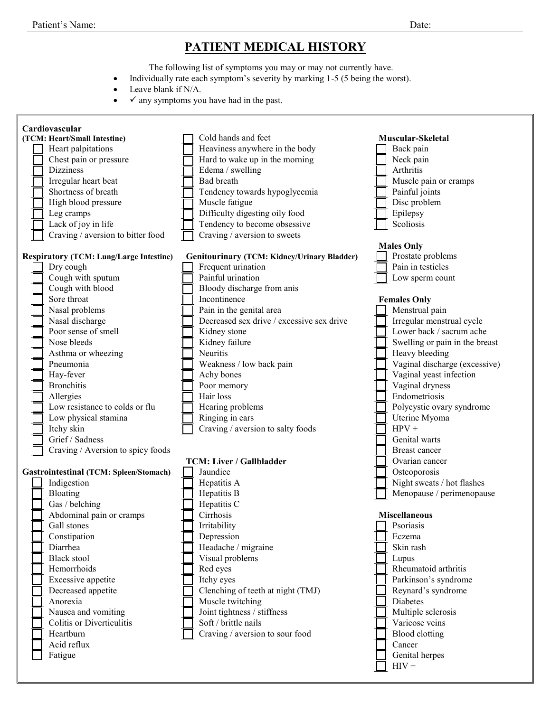## **PATIENT MEDICAL HISTORY**

The following list of symptoms you may or may not currently have.

- Individually rate each symptom's severity by marking 1-5 (5 being the worst).
- Leave blank if N/A.
- $\bullet \quad \checkmark$  any symptoms you have had in the past.

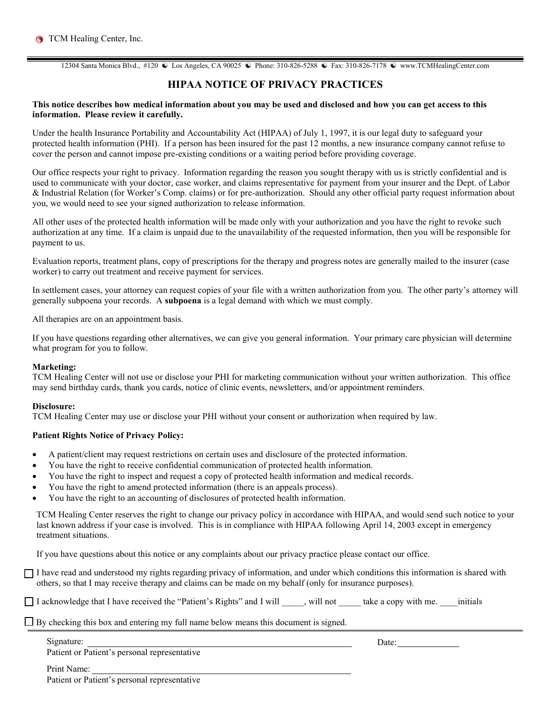12304 Santa Monica Blvd., #120 **☉** Los Angeles, CA 90025 **©** Phone: 310-826-5288 **©** Fax: 310-826-7178 **©** www.TCMHealingCenter.com

### **HIPAA NOTICE OF PRIVACY PRACTICES**

#### **This notice describes how medical information about you may be used and disclosed and how you can get access to this information. Please review it carefully.**

Under the health Insurance Portability and Accountability Act (HIPAA) of July 1, 1997, it is our legal duty to safeguard your protected health information (PHI). If a person has been insured for the past 12 months, a new insurance company cannot refuse to cover the person and cannot impose pre-existing conditions or a waiting period before providing coverage.

Our office respects your right to privacy. Information regarding the reason you sought therapy with us is strictly confidential and is used to communicate with your doctor, case worker, and claims representative for payment from your insurer and the Dept. of Labor & Industrial Relation (for Worker's Comp. claims) or for pre-authorization. Should any other official party request information about you, we would need to see your signed authorization to release information.

All other uses of the protected health information will be made only with your authorization and you have the right to revoke such authorization at any time. If a claim is unpaid due to the unavailability of the requested information, then you will be responsible for payment to us.

Evaluation reports, treatment plans, copy of prescriptions for the therapy and progress notes are generally mailed to the insurer (case worker) to carry out treatment and receive payment for services.

In settlement cases, your attorney can request copies of your file with a written authorization from you. The other party's attorney will generally subpoena your records. A **subpoena** is a legal demand with which we must comply.

All therapies are on an appointment basis.

If you have questions regarding other alternatives, we can give you general information. Your primary care physician will determine what program for you to follow.

#### **Marketing:**

TCM Healing Center will not use or disclose your PHI for marketing communication without your written authorization. This office may send birthday cards, thank you cards, notice of clinic events, newsletters, and/or appointment reminders.

#### **Disclosure:**

TCM Healing Center may use or disclose your PHI without your consent or authorization when required by law.

#### **Patient Rights Notice of Privacy Policy:**

- A patient/client may request restrictions on certain uses and disclosure of the protected information.
- You have the right to receive confidential communication of protected health information.
- You have the right to inspect and request a copy of protected health information and medical records.
- You have the right to amend protected information (there is an appeals process).
- You have the right to an accounting of disclosures of protected health information.

TCM Healing Center reserves the right to change our privacy policy in accordance with HIPAA, and would send such notice to your last known address if your case is involved. This is in compliance with HIPAA following April 14, 2003 except in emergency treatment situations.

If you have questions about this notice or any complaints about our privacy practice please contact our office.

 $\Box$  I have read and understood my rights regarding privacy of information, and under which conditions this information is shared with others, so that I may receive therapy and claims can be made on my behalf (only for insurance purposes).

□ I acknowledge that I have received the "Patient's Rights" and I will \_\_\_\_\_, will not \_\_\_\_\_ take a copy with me. \_\_\_\_\_initials

#### $\Box$  By checking this box and entering my full name below means this document is signed.

Signature: <u>Date:</u> Date:

Patient or Patient's personal representative

Print Name:

Patient or Patient's personal representative